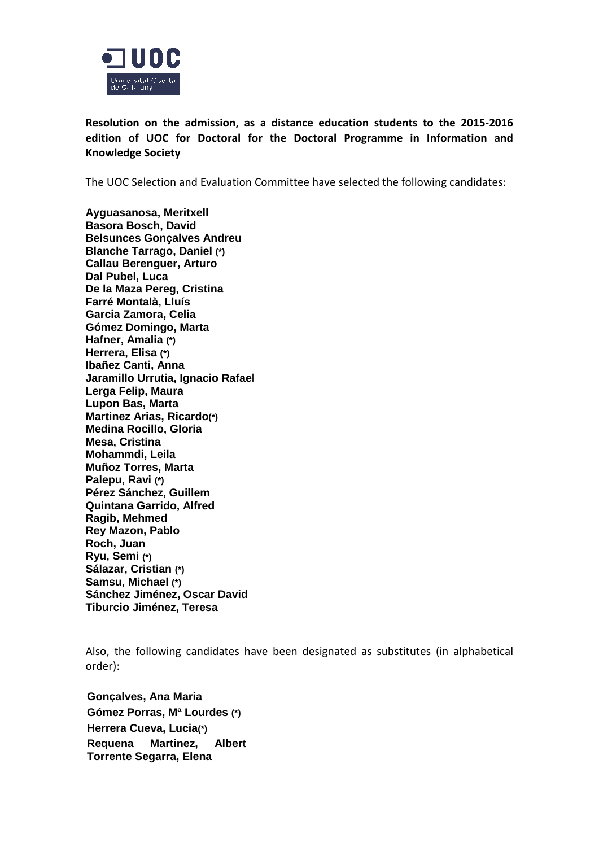

**Resolution on the admission, as a distance education students to the 2015-2016 edition of UOC for Doctoral for the Doctoral Programme in Information and Knowledge Society**

The UOC Selection and Evaluation Committee have selected the following candidates:

**Ayguasanosa, Meritxell Basora Bosch, David Belsunces Gonçalves Andreu Blanche Tarrago, Daniel (\*) Callau Berenguer, Arturo Dal Pubel, Luca De la Maza Pereg, Cristina Farré Montalà, Lluís Garcia Zamora, Celia Gómez Domingo, Marta Hafner, Amalia (\*) Herrera, Elisa (\*) Ibañez Canti, Anna Jaramillo Urrutia, Ignacio Rafael Lerga Felip, Maura Lupon Bas, Marta Martinez Arias, Ricardo(\*) Medina Rocillo, Gloria Mesa, Cristina Mohammdi, Leila Muñoz Torres, Marta Palepu, Ravi (\*) Pérez Sánchez, Guillem Quintana Garrido, Alfred Ragib, Mehmed Rey Mazon, Pablo Roch, Juan Ryu, Semi (\*) Sálazar, Cristian (\*) Samsu, Michael (\*) Sánchez Jiménez, Oscar David Tiburcio Jiménez, Teresa**

Also, the following candidates have been designated as substitutes (in alphabetical order):

**Gonçalves, Ana Maria Gómez Porras, Mª Lourdes (\*) Herrera Cueva, Lucia(\*) Requena Martinez, Albert Torrente Segarra, Elena**